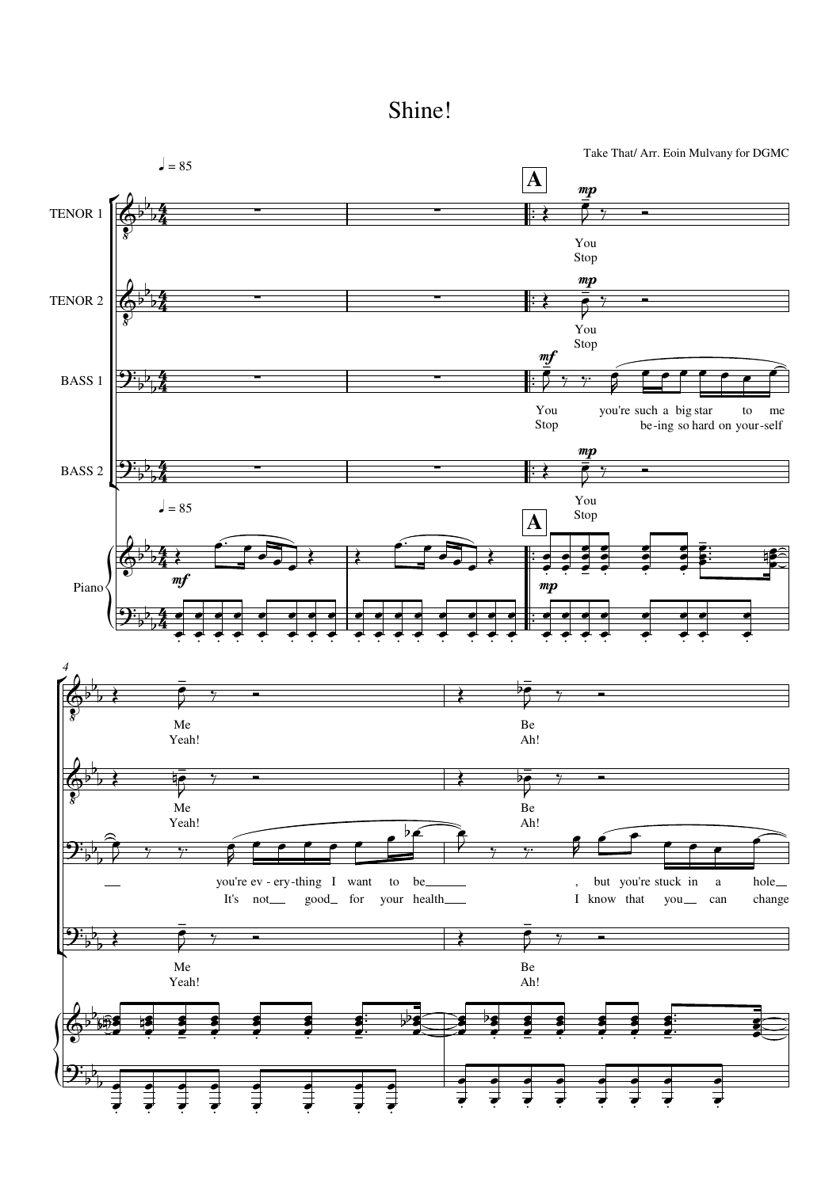## Shine!

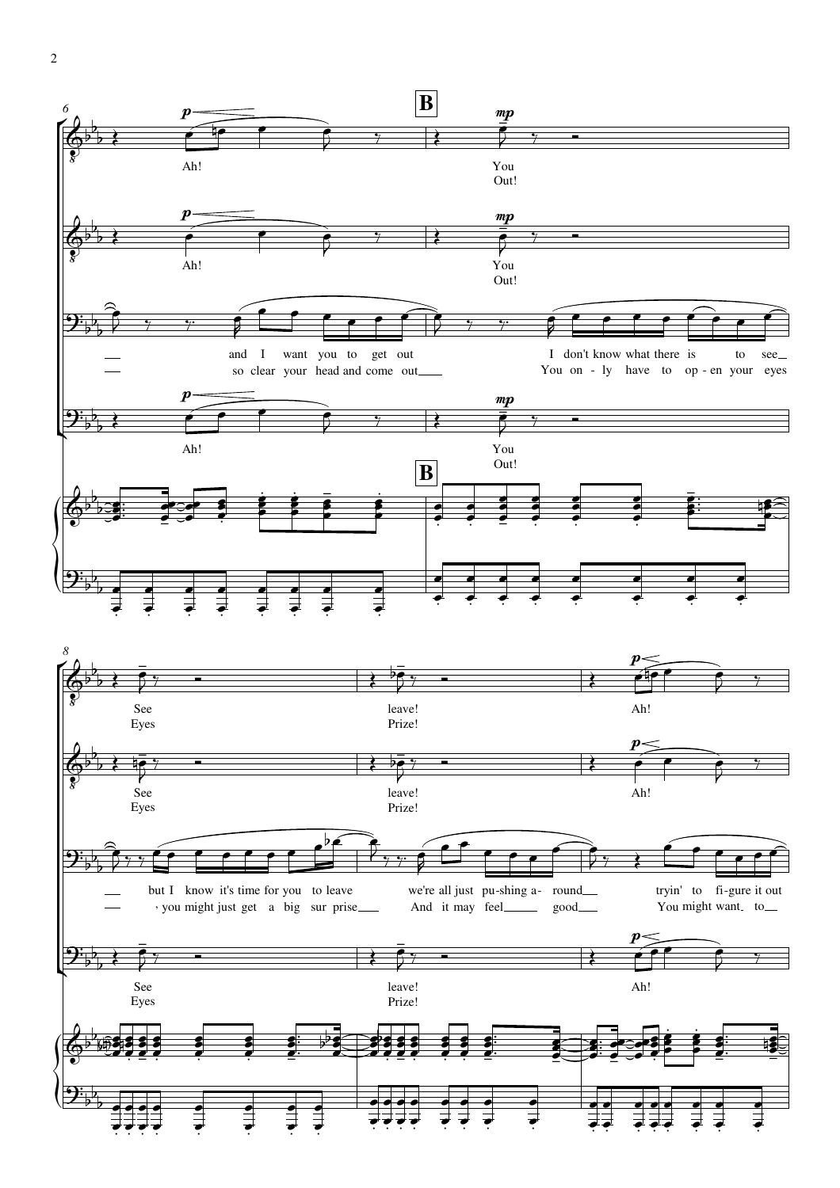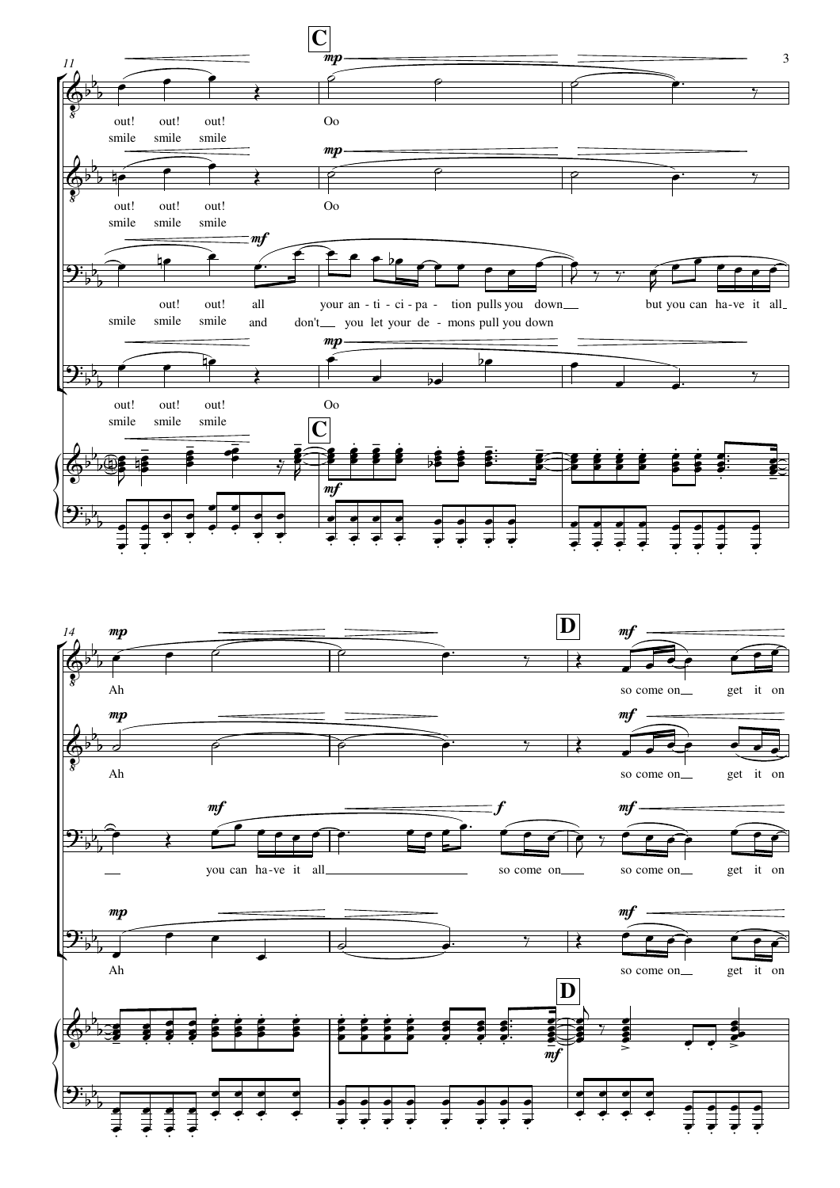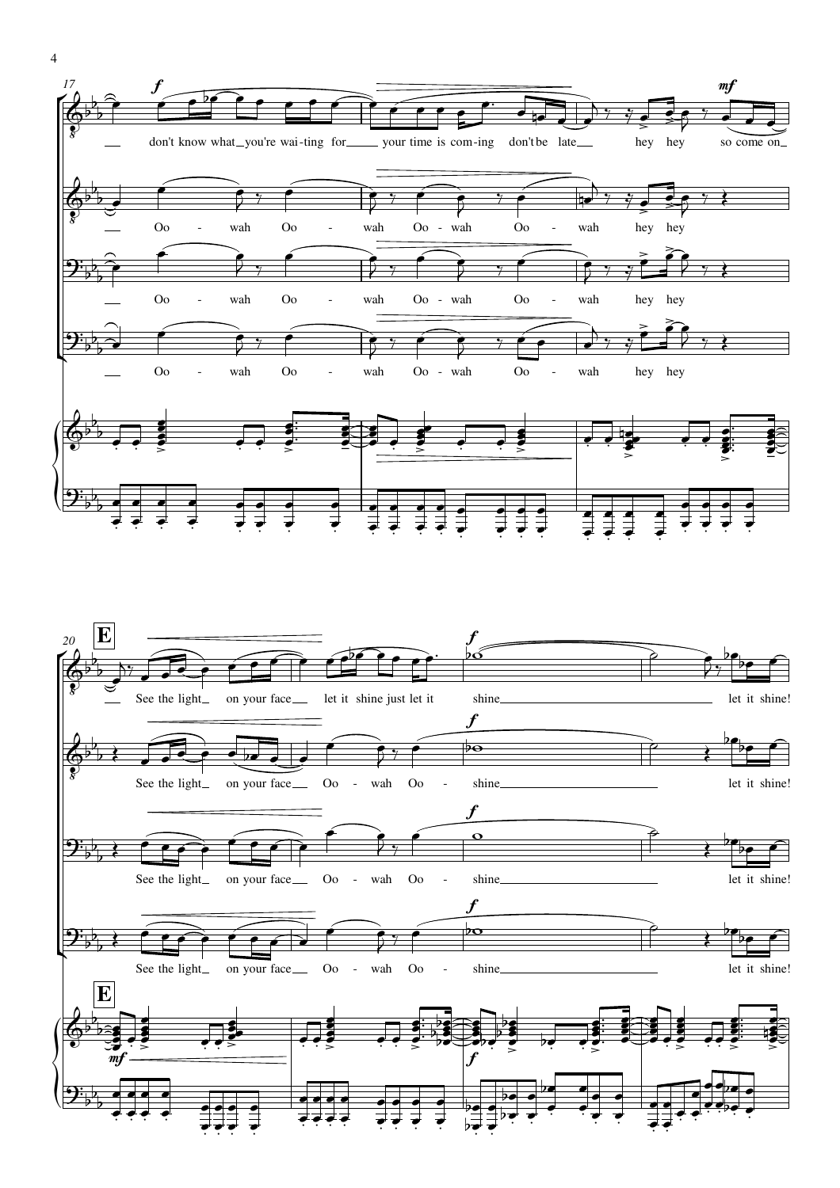

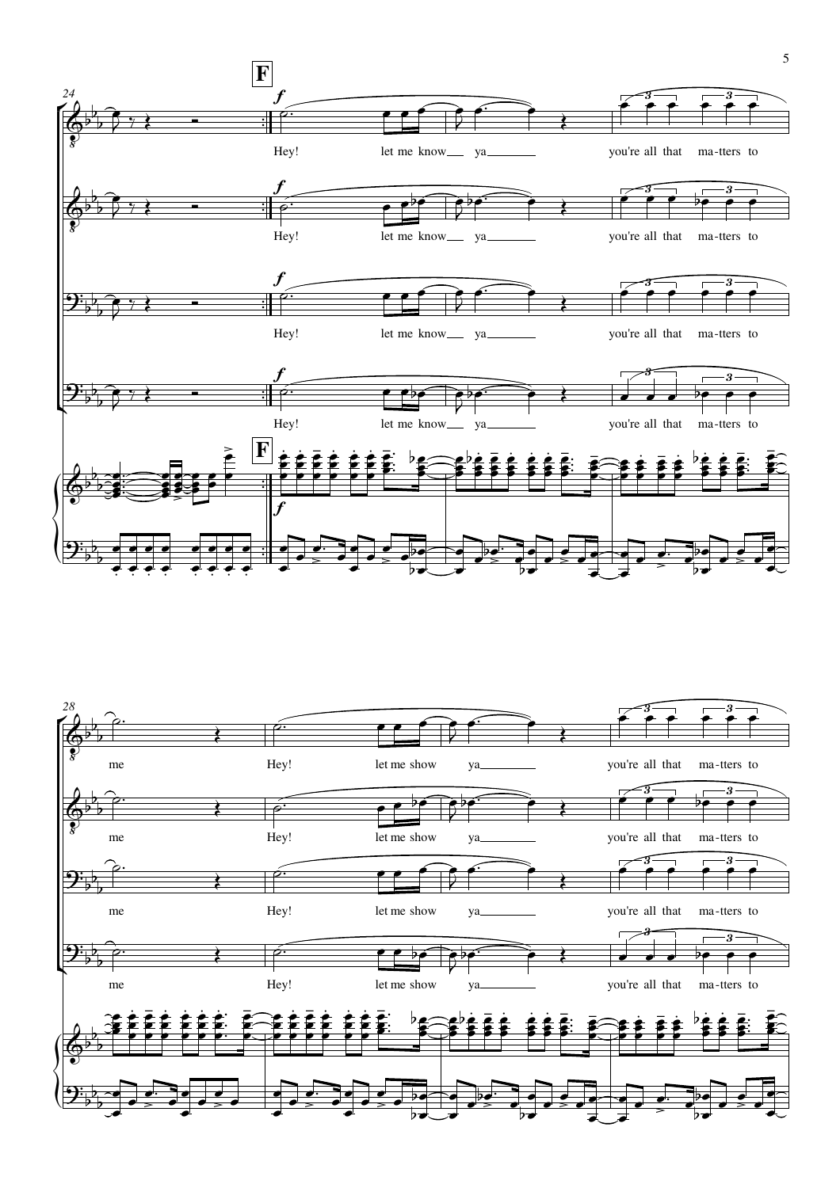

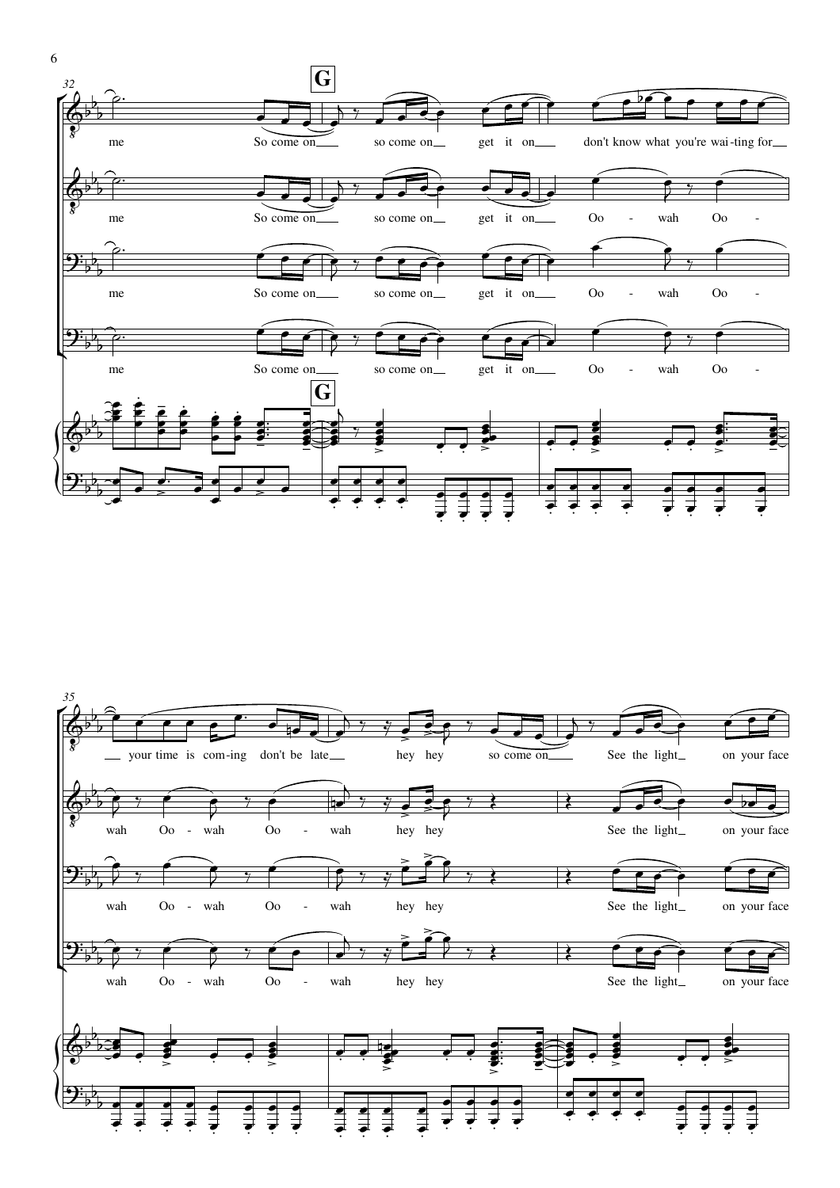



6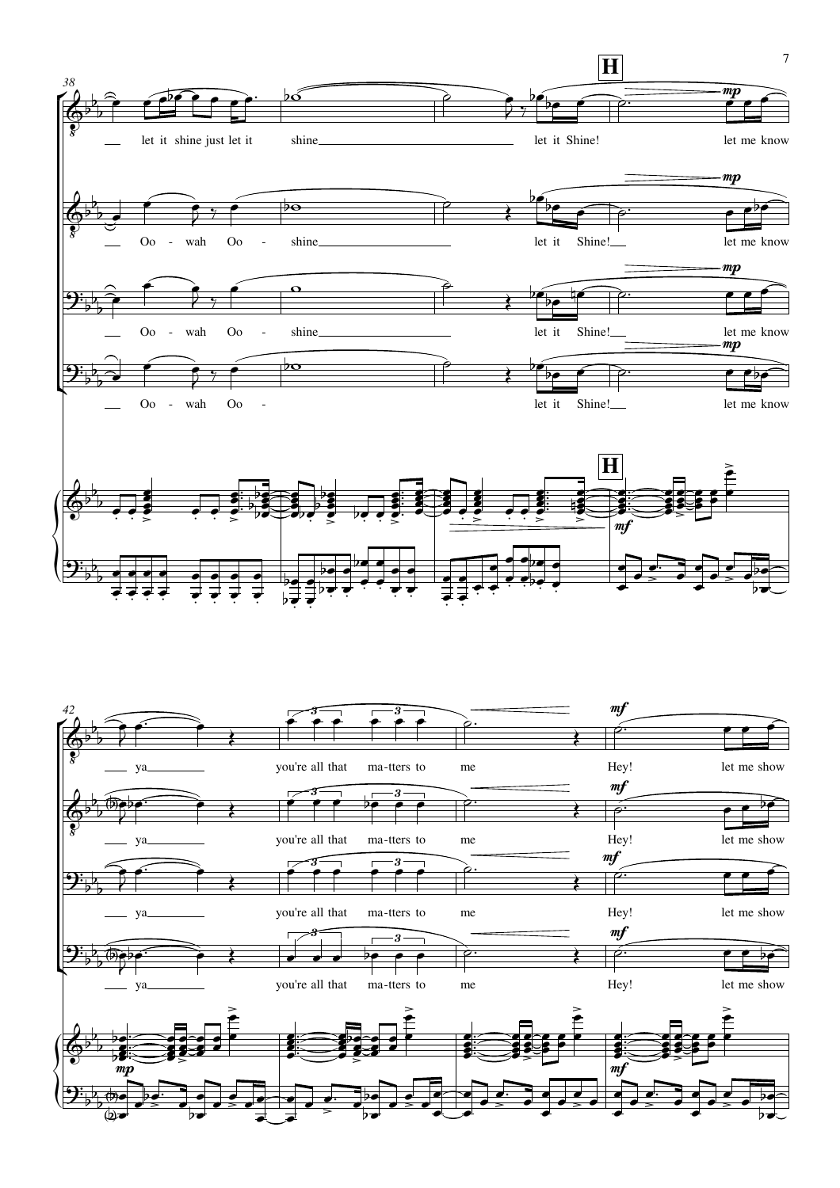